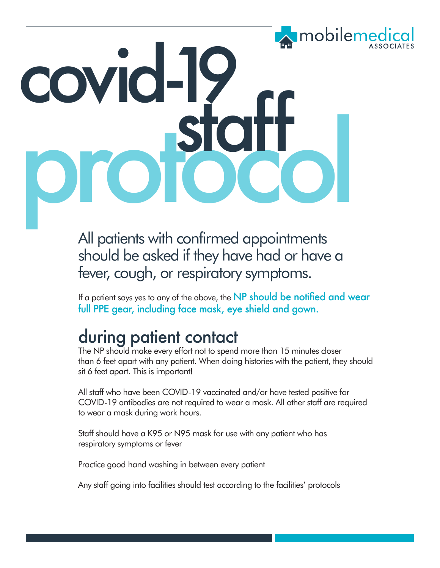# mobileme covid-19 protocol staff

All patients with confirmed appointments should be asked if they have had or have a fever, cough, or respiratory symptoms.

If a patient says yes to any of the above, the NP should be notified and wear full PPE gear, including face mask, eye shield and gown.

#### during patient contact

The NP should make every effort not to spend more than 15 minutes closer than 6 feet apart with any patient. When doing histories with the patient, they should sit 6 feet apart. This is important!

All staff who have been COVID-19 vaccinated and/or have tested positive for COVID-19 antibodies are not required to wear a mask. All other staff are required to wear a mask during work hours.

Staff should have a K95 or N95 mask for use with any patient who has respiratory symptoms or fever

Practice good hand washing in between every patient

Any staff going into facilities should test according to the facilities' protocols